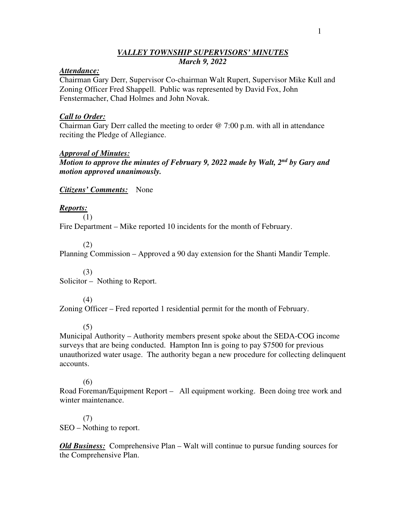### *VALLEY TOWNSHIP SUPERVISORS' MINUTES March 9, 2022*

#### *Attendance:*

Chairman Gary Derr, Supervisor Co-chairman Walt Rupert, Supervisor Mike Kull and Zoning Officer Fred Shappell. Public was represented by David Fox, John Fenstermacher, Chad Holmes and John Novak.

### *Call to Order:*

Chairman Gary Derr called the meeting to order @ 7:00 p.m. with all in attendance reciting the Pledge of Allegiance.

#### *Approval of Minutes:*

*Motion to approve the minutes of February 9, 2022 made by Walt, 2nd by Gary and motion approved unanimously.*

*Citizens' Comments:* None

# *Reports:*

 (1) Fire Department – Mike reported 10 incidents for the month of February.

(2)

Planning Commission – Approved a 90 day extension for the Shanti Mandir Temple.

 (3) Solicitor – Nothing to Report.

(4)

Zoning Officer – Fred reported 1 residential permit for the month of February.

(5)

Municipal Authority – Authority members present spoke about the SEDA-COG income surveys that are being conducted. Hampton Inn is going to pay \$7500 for previous unauthorized water usage. The authority began a new procedure for collecting delinquent accounts.

#### (6)

Road Foreman/Equipment Report – All equipment working. Been doing tree work and winter maintenance.

 (7) SEO – Nothing to report.

*Old Business:* Comprehensive Plan – Walt will continue to pursue funding sources for the Comprehensive Plan.